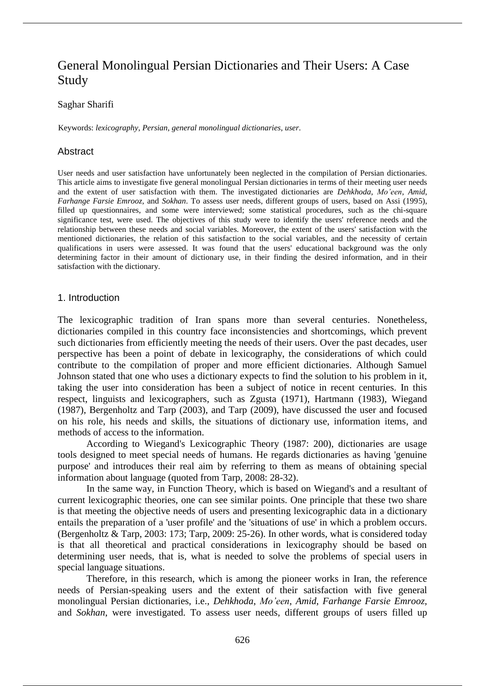# General Monolingual Persian Dictionaries and Their Users: A Case Study

#### Saghar Sharifi

Keywords: *lexicography*, *Persian*, *general monolingual dictionaries*, *user*.

# **Abstract**

User needs and user satisfaction have unfortunately been neglected in the compilation of Persian dictionaries. This article aims to investigate five general monolingual Persian dictionaries in terms of their meeting user needs and the extent of user satisfaction with them. The investigated dictionaries are *Dehkhoda*, *Mo'een*, *Amid*, *Farhange Farsie Emrooz,* and *Sokhan*. To assess user needs, different groups of users, based on Assi (1995), filled up questionnaires, and some were interviewed; some statistical procedures, such as the chi-square significance test, were used. The objectives of this study were to identify the users' reference needs and the relationship between these needs and social variables. Moreover, the extent of the users' satisfaction with the mentioned dictionaries, the relation of this satisfaction to the social variables, and the necessity of certain qualifications in users were assessed. It was found that the users' educational background was the only determining factor in their amount of dictionary use, in their finding the desired information, and in their satisfaction with the dictionary.

#### 1. Introduction

The lexicographic tradition of Iran spans more than several centuries. Nonetheless, dictionaries compiled in this country face inconsistencies and shortcomings, which prevent such dictionaries from efficiently meeting the needs of their users. Over the past decades, user perspective has been a point of debate in lexicography, the considerations of which could contribute to the compilation of proper and more efficient dictionaries. Although Samuel Johnson stated that one who uses a dictionary expects to find the solution to his problem in it, taking the user into consideration has been a subject of notice in recent centuries. In this respect, linguists and lexicographers, such as Zgusta (1971), Hartmann (1983), Wiegand (1987), Bergenholtz and Tarp (2003), and Tarp (2009), have discussed the user and focused on his role, his needs and skills, the situations of dictionary use, information items, and methods of access to the information.

According to Wiegand's Lexicographic Theory (1987: 200), dictionaries are usage tools designed to meet special needs of humans. He regards dictionaries as having 'genuine purpose' and introduces their real aim by referring to them as means of obtaining special information about language (quoted from Tarp, 2008: 28-32).

In the same way, in Function Theory, which is based on Wiegand's and a resultant of current lexicographic theories, one can see similar points. One principle that these two share is that meeting the objective needs of users and presenting lexicographic data in a dictionary entails the preparation of a 'user profile' and the 'situations of use' in which a problem occurs. (Bergenholtz & Tarp, 2003: 173; Tarp, 2009: 25-26). In other words, what is considered today is that all theoretical and practical considerations in lexicography should be based on determining user needs, that is, what is needed to solve the problems of special users in special language situations.

Therefore, in this research, which is among the pioneer works in Iran, the reference needs of Persian-speaking users and the extent of their satisfaction with five general monolingual Persian dictionaries, i.e., *Dehkhoda*, *Mo'een*, *Amid*, *Farhange Farsie Emrooz*, and *Sokhan*, were investigated. To assess user needs, different groups of users filled up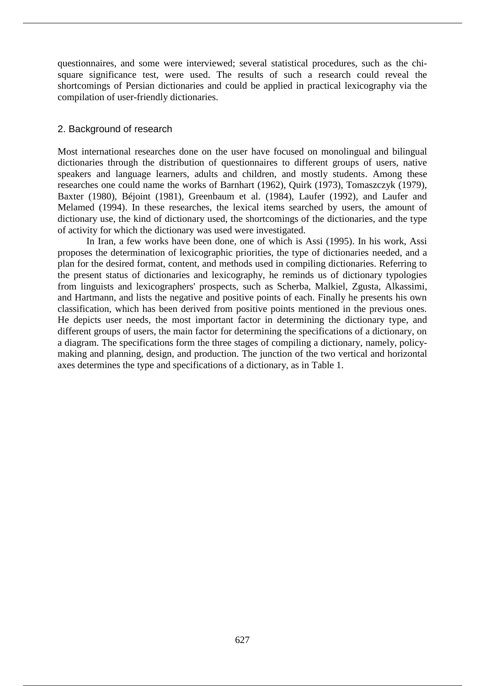questionnaires, and some were interviewed; several statistical procedures, such as the chisquare significance test, were used. The results of such a research could reveal the shortcomings of Persian dictionaries and could be applied in practical lexicography via the compilation of user-friendly dictionaries.

# 2. Background of research

Most international researches done on the user have focused on monolingual and bilingual dictionaries through the distribution of questionnaires to different groups of users, native speakers and language learners, adults and children, and mostly students. Among these researches one could name the works of Barnhart (1962), Quirk (1973), Tomaszczyk (1979), Baxter (1980), Béjoint (1981), Greenbaum et al. (1984), Laufer (1992), and Laufer and Melamed (1994). In these researches, the lexical items searched by users, the amount of dictionary use, the kind of dictionary used, the shortcomings of the dictionaries, and the type of activity for which the dictionary was used were investigated.

In Iran, a few works have been done, one of which is Assi (1995). In his work, Assi proposes the determination of lexicographic priorities, the type of dictionaries needed, and a plan for the desired format, content, and methods used in compiling dictionaries. Referring to the present status of dictionaries and lexicography, he reminds us of dictionary typologies from linguists and lexicographers' prospects, such as Scherba, Malkiel, Zgusta, Alkassimi, and Hartmann, and lists the negative and positive points of each. Finally he presents his own classification, which has been derived from positive points mentioned in the previous ones. He depicts user needs, the most important factor in determining the dictionary type, and different groups of users, the main factor for determining the specifications of a dictionary, on a diagram. The specifications form the three stages of compiling a dictionary, namely, policymaking and planning, design, and production. The junction of the two vertical and horizontal axes determines the type and specifications of a dictionary, as in Table 1.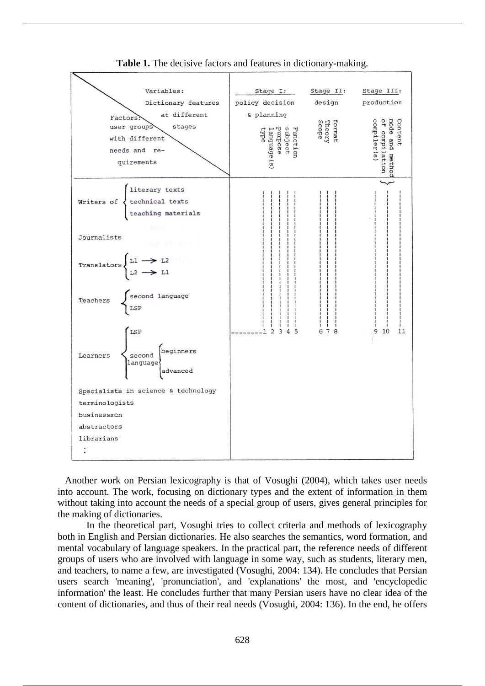

**Table 1.** The decisive factors and features in dictionary-making.

 Another work on Persian lexicography is that of Vosughi (2004), which takes user needs into account. The work, focusing on dictionary types and the extent of information in them without taking into account the needs of a special group of users, gives general principles for the making of dictionaries.

In the theoretical part, Vosughi tries to collect criteria and methods of lexicography both in English and Persian dictionaries. He also searches the semantics, word formation, and mental vocabulary of language speakers. In the practical part, the reference needs of different groups of users who are involved with language in some way, such as students, literary men, and teachers, to name a few, are investigated (Vosughi, 2004: 134). He concludes that Persian users search 'meaning', 'pronunciation', and 'explanations' the most, and 'encyclopedic information' the least. He concludes further that many Persian users have no clear idea of the content of dictionaries, and thus of their real needs (Vosughi, 2004: 136). In the end, he offers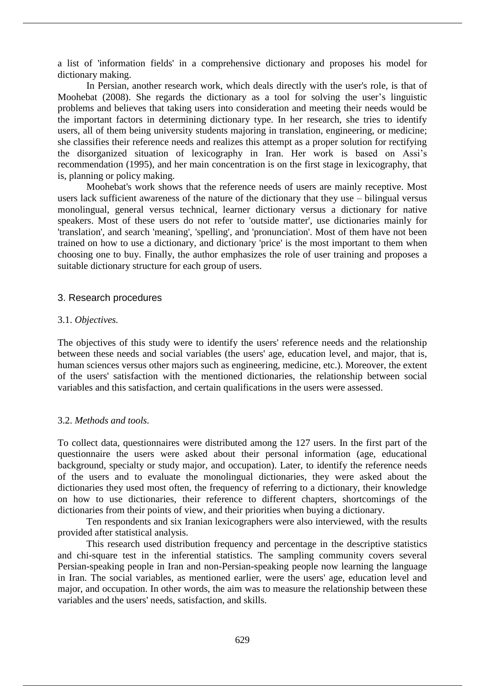a list of 'information fields' in a comprehensive dictionary and proposes his model for dictionary making.

In Persian, another research work, which deals directly with the user's role, is that of Moohebat (2008). She regards the dictionary as a tool for solving the user's linguistic problems and believes that taking users into consideration and meeting their needs would be the important factors in determining dictionary type. In her research, she tries to identify users, all of them being university students majoring in translation, engineering, or medicine; she classifies their reference needs and realizes this attempt as a proper solution for rectifying the disorganized situation of lexicography in Iran. Her work is based on Assi's recommendation (1995), and her main concentration is on the first stage in lexicography, that is, planning or policy making.

Moohebat's work shows that the reference needs of users are mainly receptive. Most users lack sufficient awareness of the nature of the dictionary that they use – bilingual versus monolingual, general versus technical, learner dictionary versus a dictionary for native speakers. Most of these users do not refer to 'outside matter', use dictionaries mainly for 'translation', and search 'meaning', 'spelling', and 'pronunciation'. Most of them have not been trained on how to use a dictionary, and dictionary 'price' is the most important to them when choosing one to buy. Finally, the author emphasizes the role of user training and proposes a suitable dictionary structure for each group of users.

#### 3. Research procedures

#### 3.1. *Objectives.*

The objectives of this study were to identify the users' reference needs and the relationship between these needs and social variables (the users' age, education level, and major, that is, human sciences versus other majors such as engineering, medicine, etc.). Moreover, the extent of the users' satisfaction with the mentioned dictionaries, the relationship between social variables and this satisfaction, and certain qualifications in the users were assessed.

## 3.2. *Methods and tools.*

To collect data, questionnaires were distributed among the 127 users. In the first part of the questionnaire the users were asked about their personal information (age, educational background, specialty or study major, and occupation). Later, to identify the reference needs of the users and to evaluate the monolingual dictionaries, they were asked about the dictionaries they used most often, the frequency of referring to a dictionary, their knowledge on how to use dictionaries, their reference to different chapters, shortcomings of the dictionaries from their points of view, and their priorities when buying a dictionary.

Ten respondents and six Iranian lexicographers were also interviewed, with the results provided after statistical analysis.

This research used distribution frequency and percentage in the descriptive statistics and chi-square test in the inferential statistics. The sampling community covers several Persian-speaking people in Iran and non-Persian-speaking people now learning the language in Iran. The social variables, as mentioned earlier, were the users' age, education level and major, and occupation. In other words, the aim was to measure the relationship between these variables and the users' needs, satisfaction, and skills.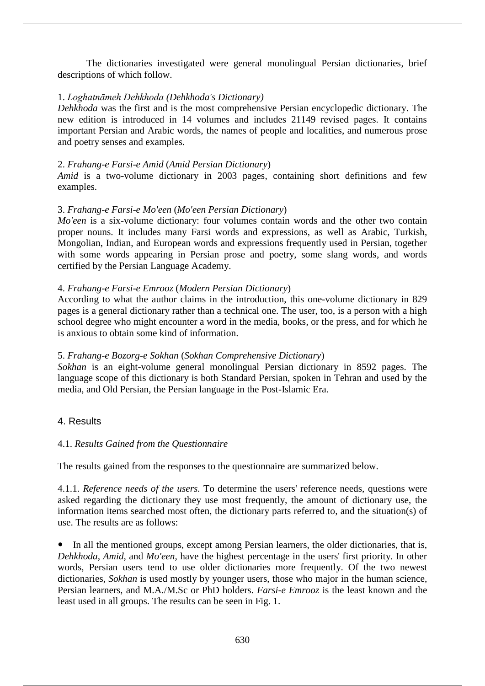The dictionaries investigated were general monolingual Persian dictionaries, brief descriptions of which follow.

# 1. *Loghatnāmeh Dehkhoda (Dehkhoda's Dictionary)*

*Dehkhoda* was the first and is the most comprehensive Persian encyclopedic dictionary. The new edition is introduced in 14 volumes and includes 21149 revised pages. It contains important Persian and Arabic words, the names of people and localities, and numerous prose and poetry senses and examples.

## 2. *Frahang-e Farsi-e Amid* (*Amid Persian Dictionary*)

*Amid* is a two-volume dictionary in 2003 pages, containing short definitions and few examples.

# 3. *Frahang-e Farsi-e Mo'een* (*Mo'een Persian Dictionary*)

*Mo'een* is a six-volume dictionary: four volumes contain words and the other two contain proper nouns. It includes many Farsi words and expressions, as well as Arabic, Turkish, Mongolian, Indian, and European words and expressions frequently used in Persian, together with some words appearing in Persian prose and poetry, some slang words, and words certified by the Persian Language Academy.

# 4. *Frahang-e Farsi-e Emrooz* (*Modern Persian Dictionary*)

According to what the author claims in the introduction, this one-volume dictionary in 829 pages is a general dictionary rather than a technical one. The user, too, is a person with a high school degree who might encounter a word in the media, books, or the press, and for which he is anxious to obtain some kind of information.

## 5. *Frahang-e Bozorg-e Sokhan* (*Sokhan Comprehensive Dictionary*)

*Sokhan* is an eight-volume general monolingual Persian dictionary in 8592 pages. The language scope of this dictionary is both Standard Persian, spoken in Tehran and used by the media, and Old Persian, the Persian language in the Post-Islamic Era.

# 4. Results

# 4.1. *Results Gained from the Questionnaire*

The results gained from the responses to the questionnaire are summarized below.

4.1.1. *Reference needs of the users.* To determine the users' reference needs, questions were asked regarding the dictionary they use most frequently, the amount of dictionary use, the information items searched most often, the dictionary parts referred to, and the situation(s) of use. The results are as follows:

• In all the mentioned groups, except among Persian learners, the older dictionaries, that is, *Dehkhoda*, *Amid*, and *Mo'een*, have the highest percentage in the users' first priority. In other words. Persian users tend to use older dictionaries more frequently. Of the two newest dictionaries, *Sokhan* is used mostly by younger users, those who major in the human science, Persian learners, and M.A./M.Sc or PhD holders. *Farsi-e Emrooz* is the least known and the least used in all groups. The results can be seen in Fig. 1.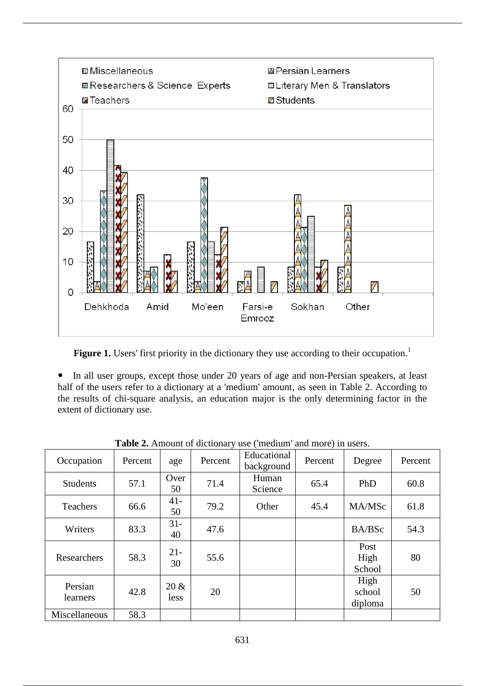

Figure 1. Users' first priority in the dictionary they use according to their occupation.<sup>1</sup>

• In all user groups, except those under 20 years of age and non-Persian speakers, at least half of the users refer to a dictionary at a 'medium' amount, as seen in Table 2. According to the results of chi-square analysis, an education major is the only determining factor in the extent of dictionary use.

| $\ldots$<br>$\frac{1}{2}$ |         |                 |         |                           |         |                           |         |
|---------------------------|---------|-----------------|---------|---------------------------|---------|---------------------------|---------|
| Occupation                | Percent | age             | Percent | Educational<br>background | Percent | Degree                    | Percent |
| <b>Students</b>           | 57.1    | Over<br>50      | 71.4    | Human<br>Science          | 65.4    | PhD                       | 60.8    |
| Teachers                  | 66.6    | $41 -$<br>50    | 79.2    | Other                     | 45.4    | MA/MSc                    | 61.8    |
| Writers                   | 83.3    | $31-$<br>40     | 47.6    |                           |         | BA/BSc                    | 54.3    |
| Researchers               | 58.3    | $21 -$<br>30    | 55.6    |                           |         | Post<br>High<br>School    | 80      |
| Persian<br>learners       | 42.8    | $20 \&$<br>less | 20      |                           |         | High<br>school<br>diploma | 50      |
| Miscellaneous             | 58.3    |                 |         |                           |         |                           |         |

**Table 2.** Amount of dictionary use ('medium' and more) in users.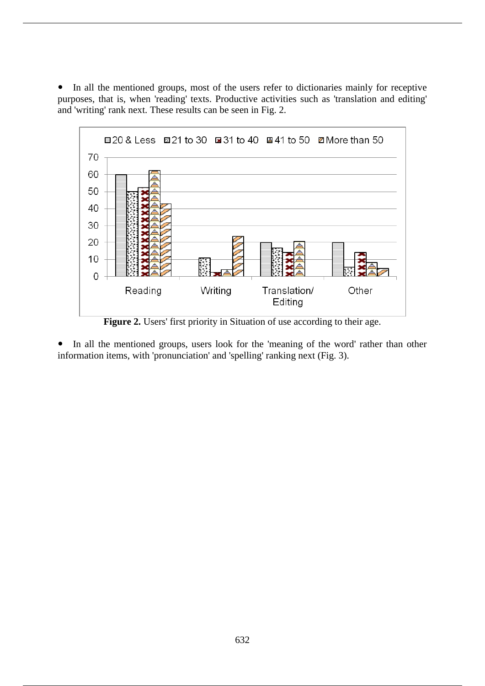• In all the mentioned groups, most of the users refer to dictionaries mainly for receptive purposes, that is, when 'reading' texts. Productive activities such as 'translation and editing' and 'writing' rank next. These results can be seen in Fig. 2.



**Figure 2.** Users' first priority in Situation of use according to their age.

• In all the mentioned groups, users look for the 'meaning of the word' rather than other information items, with 'pronunciation' and 'spelling' ranking next (Fig. 3).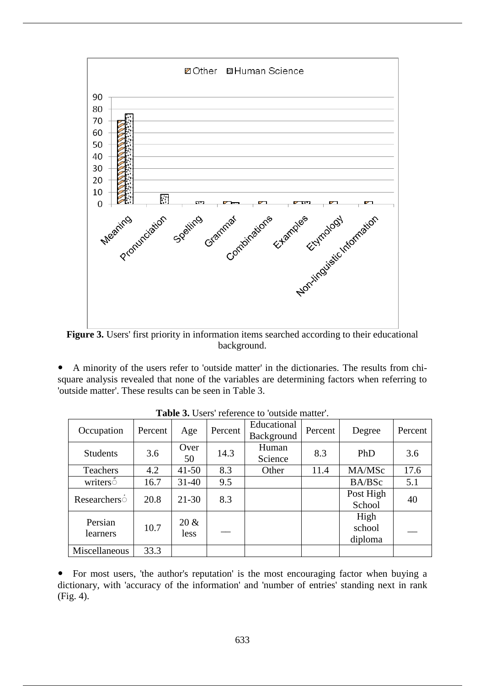

**Figure 3.** Users' first priority in information items searched according to their educational background.

A minority of the users refer to 'outside matter' in the dictionaries. The results from chisquare analysis revealed that none of the variables are determining factors when referring to 'outside matter'. These results can be seen in Table 3.

| Occupation          | Percent | Age             | Percent | Educational<br>Background | Percent | Degree                    | Percent |
|---------------------|---------|-----------------|---------|---------------------------|---------|---------------------------|---------|
| <b>Students</b>     | 3.6     | Over<br>50      | 14.3    | Human<br>Science          | 8.3     | PhD                       | 3.6     |
| <b>Teachers</b>     | 4.2     | $41 - 50$       | 8.3     | Other                     | 11.4    | MA/MSc                    | 17.6    |
| writers             | 16.7    | $31 - 40$       | 9.5     |                           |         | BA/BSc                    | 5.1     |
| Researchers         | 20.8    | $21 - 30$       | 8.3     |                           |         | Post High<br>School       | 40      |
| Persian<br>learners | 10.7    | $20 \&$<br>less |         |                           |         | High<br>school<br>diploma |         |
| Miscellaneous       | 33.3    |                 |         |                           |         |                           |         |

**Table 3.** Users' reference to 'outside matter'.

For most users, 'the author's reputation' is the most encouraging factor when buying a dictionary, with 'accuracy of the information' and 'number of entries' standing next in rank (Fig. 4).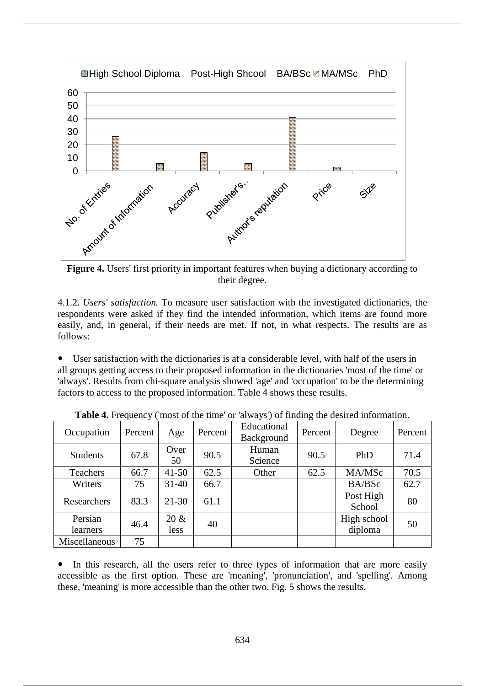

**Figure 4.** Users' first priority in important features when buying a dictionary according to their degree.

4.1.2. *Users' satisfaction.* To measure user satisfaction with the investigated dictionaries, the respondents were asked if they find the intended information, which items are found more easily, and, in general, if their needs are met. If not, in what respects. The results are as follows:

User satisfaction with the dictionaries is at a considerable level, with half of the users in all groups getting access to their proposed information in the dictionaries 'most of the time' or 'always'. Results from chi-square analysis showed 'age' and 'occupation' to be the determining factors to access to the proposed information. Table 4 shows these results.

| Occupation          | Percent | Age             | Percent | Educational<br>Background | Percent | Degree                 | Percent |
|---------------------|---------|-----------------|---------|---------------------------|---------|------------------------|---------|
| <b>Students</b>     | 67.8    | Over<br>50      | 90.5    | Human<br>Science          | 90.5    | PhD                    | 71.4    |
| Teachers            | 66.7    | $41 - 50$       | 62.5    | Other                     | 62.5    | MA/MSc                 | 70.5    |
| Writers             | 75      | $31 - 40$       | 66.7    |                           |         | BA/BSc                 | 62.7    |
| Researchers         | 83.3    | $21 - 30$       | 61.1    |                           |         | Post High<br>School    | 80      |
| Persian<br>learners | 46.4    | $20 \&$<br>less | 40      |                           |         | High school<br>diploma | 50      |
| Miscellaneous       | 75      |                 |         |                           |         |                        |         |

**Table 4.** Frequency ('most of the time' or 'always') of finding the desired information.

• In this research, all the users refer to three types of information that are more easily accessible as the first option. These are 'meaning', 'pronunciation', and 'spelling'. Among these, 'meaning' is more accessible than the other two. Fig. 5 shows the results.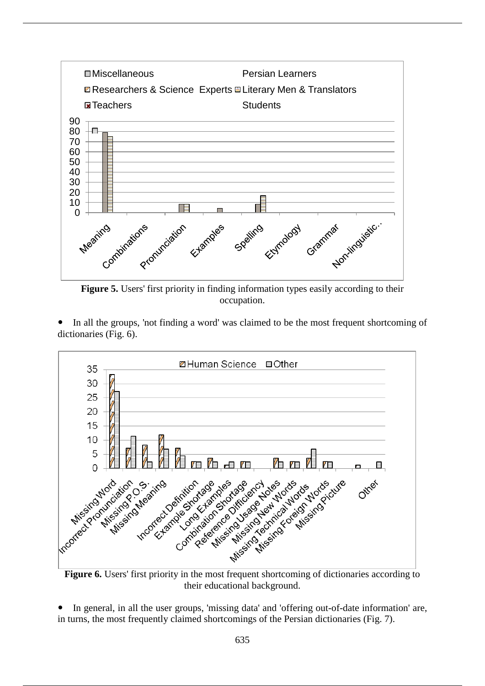

**Figure 5.** Users' first priority in finding information types easily according to their occupation.

In all the groups, 'not finding a word' was claimed to be the most frequent shortcoming of dictionaries (Fig. 6).



their educational background.

In general, in all the user groups, 'missing data' and 'offering out-of-date information' are, in turns, the most frequently claimed shortcomings of the Persian dictionaries (Fig. 7).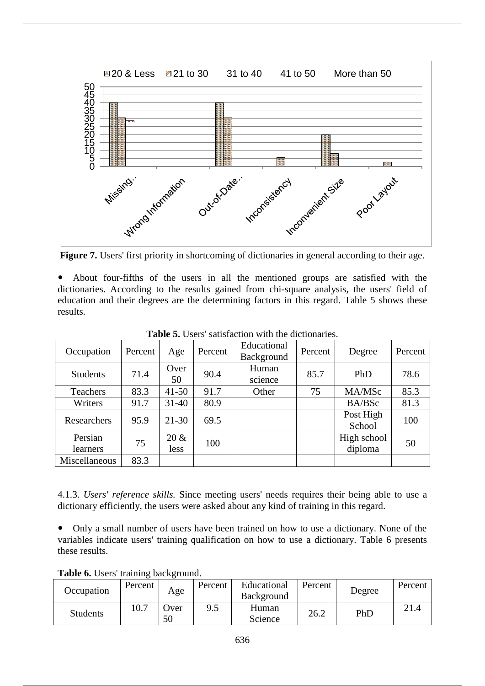

**Figure 7.** Users' first priority in shortcoming of dictionaries in general according to their age.

 About four-fifths of the users in all the mentioned groups are satisfied with the dictionaries. According to the results gained from chi-square analysis, the users' field of education and their degrees are the determining factors in this regard. Table 5 shows these results.

| Occupation          | Percent | Age             | Percent | Educational<br>Background | Percent | Degree                 | Percent |
|---------------------|---------|-----------------|---------|---------------------------|---------|------------------------|---------|
| <b>Students</b>     | 71.4    | Over<br>50      | 90.4    | Human<br>science          | 85.7    | PhD                    | 78.6    |
| Teachers            | 83.3    | $41 - 50$       | 91.7    | Other                     | 75      | MA/MSc                 | 85.3    |
| Writers             | 91.7    | $31 - 40$       | 80.9    |                           |         | BA/BSc                 | 81.3    |
| Researchers         | 95.9    | $21 - 30$       | 69.5    |                           |         | Post High<br>School    | 100     |
| Persian<br>learners | 75      | $20 \&$<br>less | 100     |                           |         | High school<br>diploma | 50      |
| Miscellaneous       | 83.3    |                 |         |                           |         |                        |         |

**Table 5.** Users' satisfaction with the dictionaries.

4.1.3. *Users' reference skills.* Since meeting users' needs requires their being able to use a dictionary efficiently, the users were asked about any kind of training in this regard.

Only a small number of users have been trained on how to use a dictionary. None of the variables indicate users' training qualification on how to use a dictionary. Table 6 presents these results.

**Table 6.** Users' training background.

|                 |         | $\overline{\phantom{0}}$ |         |                           |         |        |         |
|-----------------|---------|--------------------------|---------|---------------------------|---------|--------|---------|
| Occupation      | Percent | Age                      | Percent | Educational<br>Background | Percent | Degree | Percent |
| <b>Students</b> | 10.7    | Jver<br>50               | 9.5     | Human<br>Science          | 26.2    | PhD    | 21.4    |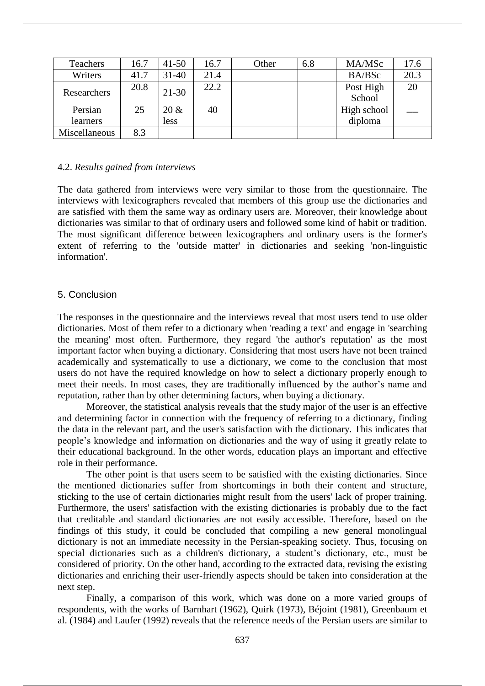| Teachers      | 16.7 | $41 - 50$ | 16.7 | Other | 6.8 | MA/MSc      | 17.6 |
|---------------|------|-----------|------|-------|-----|-------------|------|
| Writers       | 41.7 | $31 - 40$ | 21.4 |       |     | BA/BSc      | 20.3 |
| Researchers   | 20.8 | $21 - 30$ | 22.2 |       |     | Post High   | 20   |
|               |      |           |      |       |     | School      |      |
| Persian       | 25   | $20 \&$   | 40   |       |     | High school |      |
| learners      |      | less      |      |       |     | diploma     |      |
| Miscellaneous | 8.3  |           |      |       |     |             |      |

#### 4.2. *Results gained from interviews*

The data gathered from interviews were very similar to those from the questionnaire. The interviews with lexicographers revealed that members of this group use the dictionaries and are satisfied with them the same way as ordinary users are. Moreover, their knowledge about dictionaries was similar to that of ordinary users and followed some kind of habit or tradition. The most significant difference between lexicographers and ordinary users is the former's extent of referring to the 'outside matter' in dictionaries and seeking 'non-linguistic information'.

## 5. Conclusion

The responses in the questionnaire and the interviews reveal that most users tend to use older dictionaries. Most of them refer to a dictionary when 'reading a text' and engage in 'searching the meaning' most often. Furthermore, they regard 'the author's reputation' as the most important factor when buying a dictionary. Considering that most users have not been trained academically and systematically to use a dictionary, we come to the conclusion that most users do not have the required knowledge on how to select a dictionary properly enough to meet their needs. In most cases, they are traditionally influenced by the author's name and reputation, rather than by other determining factors, when buying a dictionary.

Moreover, the statistical analysis reveals that the study major of the user is an effective and determining factor in connection with the frequency of referring to a dictionary, finding the data in the relevant part, and the user's satisfaction with the dictionary. This indicates that people's knowledge and information on dictionaries and the way of using it greatly relate to their educational background. In the other words, education plays an important and effective role in their performance.

The other point is that users seem to be satisfied with the existing dictionaries. Since the mentioned dictionaries suffer from shortcomings in both their content and structure, sticking to the use of certain dictionaries might result from the users' lack of proper training. Furthermore, the users' satisfaction with the existing dictionaries is probably due to the fact that creditable and standard dictionaries are not easily accessible. Therefore, based on the findings of this study, it could be concluded that compiling a new general monolingual dictionary is not an immediate necessity in the Persian-speaking society. Thus, focusing on special dictionaries such as a children's dictionary, a student's dictionary, etc., must be considered of priority. On the other hand, according to the extracted data, revising the existing dictionaries and enriching their user-friendly aspects should be taken into consideration at the next step.

Finally, a comparison of this work, which was done on a more varied groups of respondents, with the works of Barnhart (1962), Quirk (1973), Béjoint (1981), Greenbaum et al. (1984) and Laufer (1992) reveals that the reference needs of the Persian users are similar to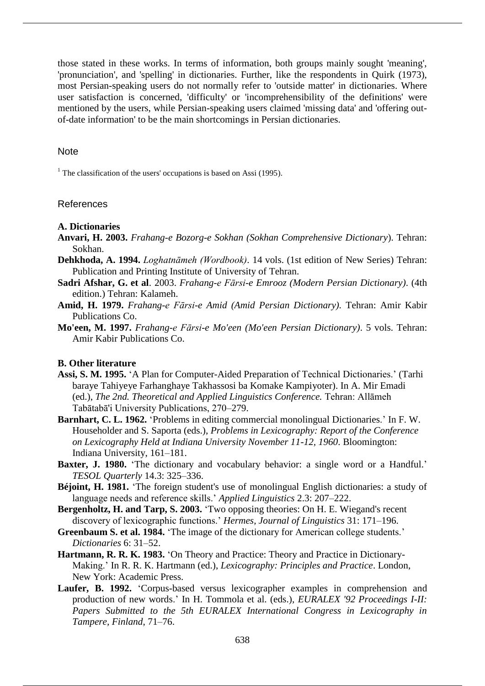those stated in these works. In terms of information, both groups mainly sought 'meaning', 'pronunciation', and 'spelling' in dictionaries. Further, like the respondents in Quirk (1973), most Persian-speaking users do not normally refer to 'outside matter' in dictionaries. Where user satisfaction is concerned, 'difficulty' or 'incomprehensibility of the definitions' were mentioned by the users, while Persian-speaking users claimed 'missing data' and 'offering outof-date information' to be the main shortcomings in Persian dictionaries.

#### **Note**

<sup>1</sup> The classification of the users' occupations is based on Assi (1995).

# References

#### **A. Dictionaries**

- **Anvari, H. 2003.** *Frahang-e Bozorg-e Sokhan (Sokhan Comprehensive Dictionary*). Tehran: Sokhan.
- **Dehkhoda, A. 1994.** *Loghatnāmeh (Wordbook)*. 14 vols. (1st edition of New Series) Tehran: Publication and Printing Institute of University of Tehran.
- **Sadri Afshar, G. et al**. 2003. *Frahang-e Fārsi-e Emrooz (Modern Persian Dictionary)*. (4th edition.) Tehran: Kalameh.
- **Amid, H. 1979.** *Frahang-e Fārsi-e Amid (Amid Persian Dictionary).* Tehran: Amir Kabir Publications Co.
- **Mo'een, M. 1997.** *Frahang-e Fārsi-e Mo'een (Mo'een Persian Dictionary)*. 5 vols. Tehran: Amir Kabir Publications Co.

## **B. Other literature**

- **Assi, S. M. 1995.** 'A Plan for Computer-Aided Preparation of Technical Dictionaries.' (Tarhi baraye Tahiyeye Farhanghaye Takhassosi ba Komake Kampiyoter). In A. Mir Emadi (ed.), *The 2nd. Theoretical and Applied Linguistics Conference.* Tehran: Allāmeh Tabātabā'i University Publications, 270–279.
- **Barnhart, C. L. 1962.** 'Problems in editing commercial monolingual Dictionaries.' In F. W. Householder and S. Saporta (eds.), *Problems in Lexicography: Report of the Conference on Lexicography Held at Indiana University November 11-12, 1960*. Bloomington: Indiana University, 161–181.
- **Baxter, J. 1980.** 'The dictionary and vocabulary behavior: a single word or a Handful.' *TESOL Quarterly* 14.3: 325–336.
- **Béjoint, H. 1981.** 'The foreign student's use of monolingual English dictionaries: a study of language needs and reference skills.' *Applied Linguistics* 2.3: 207–222.
- **Bergenholtz, H. and Tarp, S. 2003.** 'Two opposing theories: On H. E. Wiegand's recent discovery of lexicographic functions.' *Hermes, Journal of Linguistics* 31: 171–196.
- **Greenbaum S. et al. 1984.** 'The image of the dictionary for American college students.' *Dictionaries* 6: 31–52.
- **Hartmann, R. R. K. 1983.** 'On Theory and Practice: Theory and Practice in Dictionary-Making.' In R. R. K. Hartmann (ed.), *Lexicography: Principles and Practice*. London, New York: Academic Press.
- **Laufer, B. 1992.** 'Corpus-based versus lexicographer examples in comprehension and production of new words.' In H. Tommola et al. (eds.), *EURALEX '92 Proceedings I-II: Papers Submitted to the 5th EURALEX International Congress in Lexicography in Tampere, Finland*, 71–76.